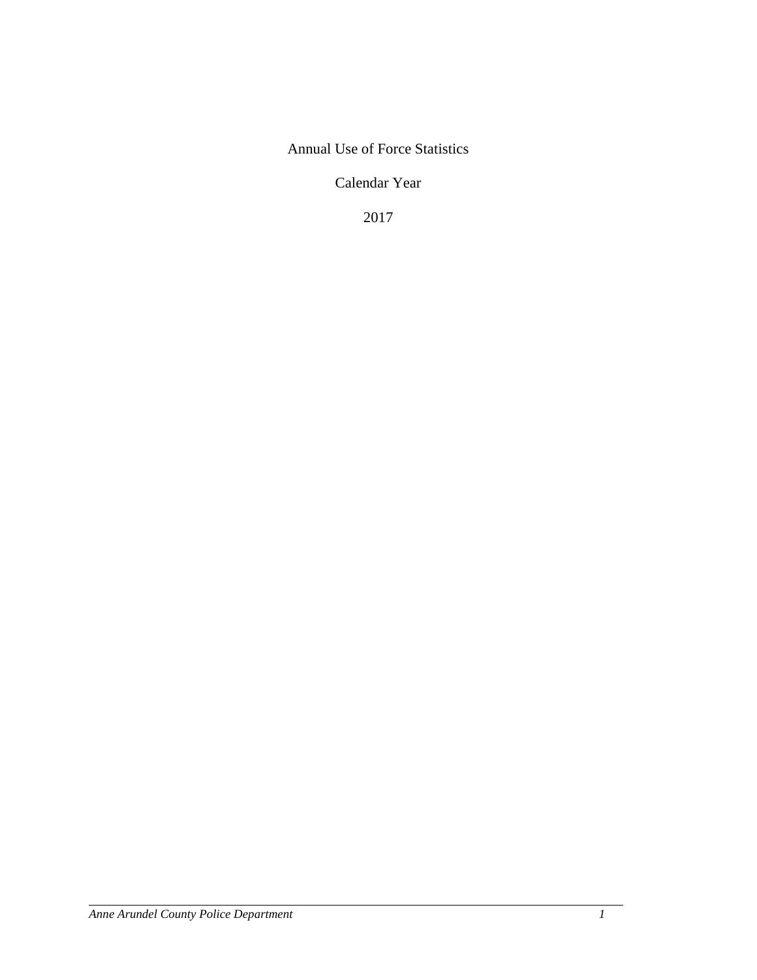# Annual Use of Force Statistics

Calendar Year

2017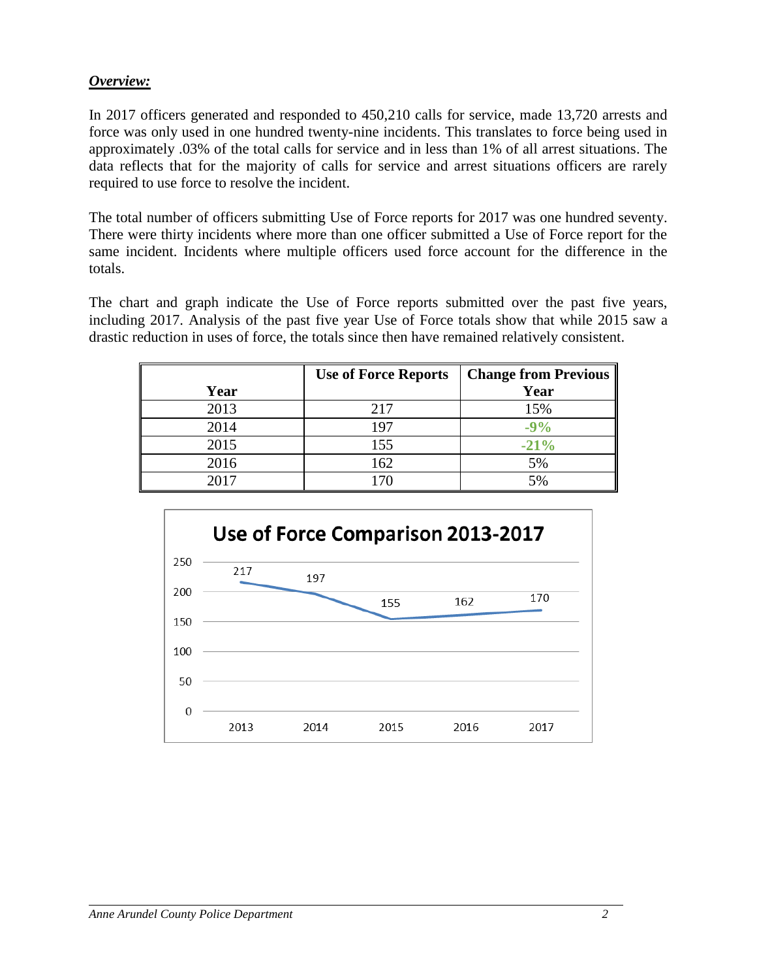### *Overview:*

In 2017 officers generated and responded to 450,210 calls for service, made 13,720 arrests and force was only used in one hundred twenty-nine incidents. This translates to force being used in approximately .03% of the total calls for service and in less than 1% of all arrest situations. The data reflects that for the majority of calls for service and arrest situations officers are rarely required to use force to resolve the incident.

The total number of officers submitting Use of Force reports for 2017 was one hundred seventy. There were thirty incidents where more than one officer submitted a Use of Force report for the same incident. Incidents where multiple officers used force account for the difference in the totals.

The chart and graph indicate the Use of Force reports submitted over the past five years, including 2017. Analysis of the past five year Use of Force totals show that while 2015 saw a drastic reduction in uses of force, the totals since then have remained relatively consistent.

|      | <b>Use of Force Reports</b> | <b>Change from Previous</b> |
|------|-----------------------------|-----------------------------|
| Year |                             | Year                        |
| 2013 | 217                         | 15%                         |
| 2014 | 197                         | $-9%$                       |
| 2015 | 155                         | $-21%$                      |
| 2016 | 162                         | 5%                          |
| 2017 |                             | 5%                          |

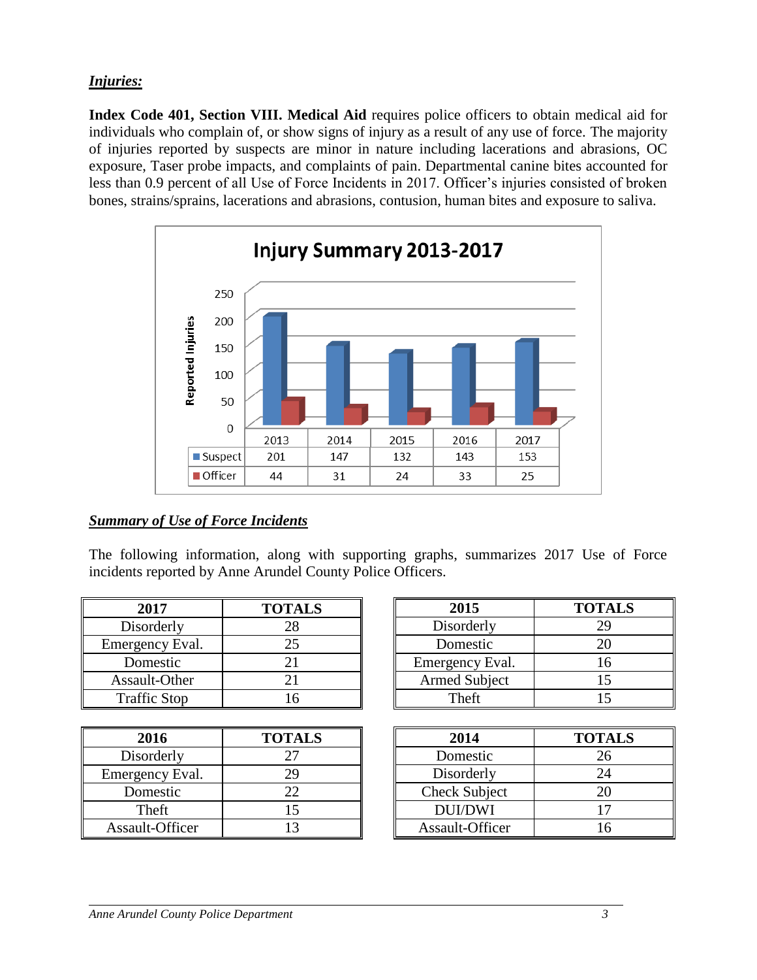# *Injuries:*

**Index Code 401, Section VIII. Medical Aid** requires police officers to obtain medical aid for individuals who complain of, or show signs of injury as a result of any use of force. The majority of injuries reported by suspects are minor in nature including lacerations and abrasions, OC exposure, Taser probe impacts, and complaints of pain. Departmental canine bites accounted for less than 0.9 percent of all Use of Force Incidents in 2017. Officer's injuries consisted of broken bones, strains/sprains, lacerations and abrasions, contusion, human bites and exposure to saliva.



# *Summary of Use of Force Incidents*

The following information, along with supporting graphs, summarizes 2017 Use of Force incidents reported by Anne Arundel County Police Officers.

| 2017                | <b>TOTALS</b> |
|---------------------|---------------|
| Disorderly          | 28            |
| Emergency Eval.     | 25            |
| Domestic            | 21            |
| Assault-Other       | 21            |
| <b>Traffic Stop</b> | 16            |

| 2016            | <b>TOTALS</b> |
|-----------------|---------------|
| Disorderly      | 27            |
| Emergency Eval. | 29            |
| Domestic        | 22            |
| Theft           | 15            |
| Assault-Officer | 13            |

| 2015                 | <b>TOTALS</b> |  |
|----------------------|---------------|--|
| Disorderly           | 29            |  |
| Domestic             | 20            |  |
| Emergency Eval.      | 16            |  |
| <b>Armed Subject</b> | 15            |  |
| Theft                |               |  |

| 2014                 | <b>TOTALS</b> |
|----------------------|---------------|
| Domestic             | 26            |
| Disorderly           | 24            |
| <b>Check Subject</b> | 20            |
| <b>DUI/DWI</b>       | 17            |
| Assault-Officer      | 16            |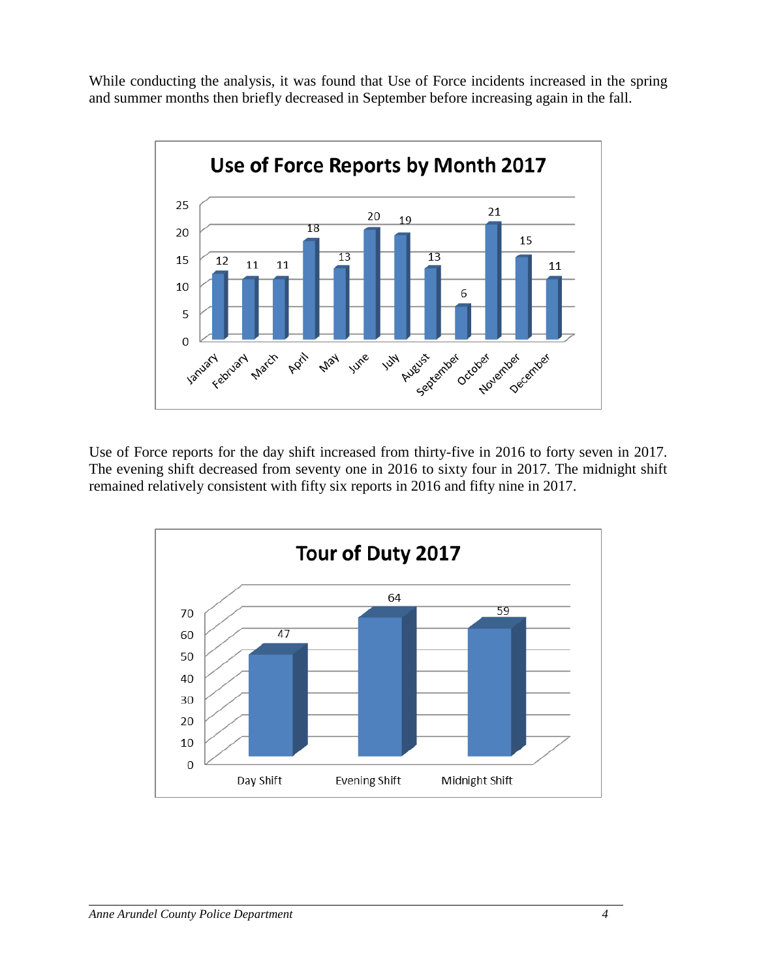While conducting the analysis, it was found that Use of Force incidents increased in the spring and summer months then briefly decreased in September before increasing again in the fall.



Use of Force reports for the day shift increased from thirty-five in 2016 to forty seven in 2017. The evening shift decreased from seventy one in 2016 to sixty four in 2017. The midnight shift remained relatively consistent with fifty six reports in 2016 and fifty nine in 2017.

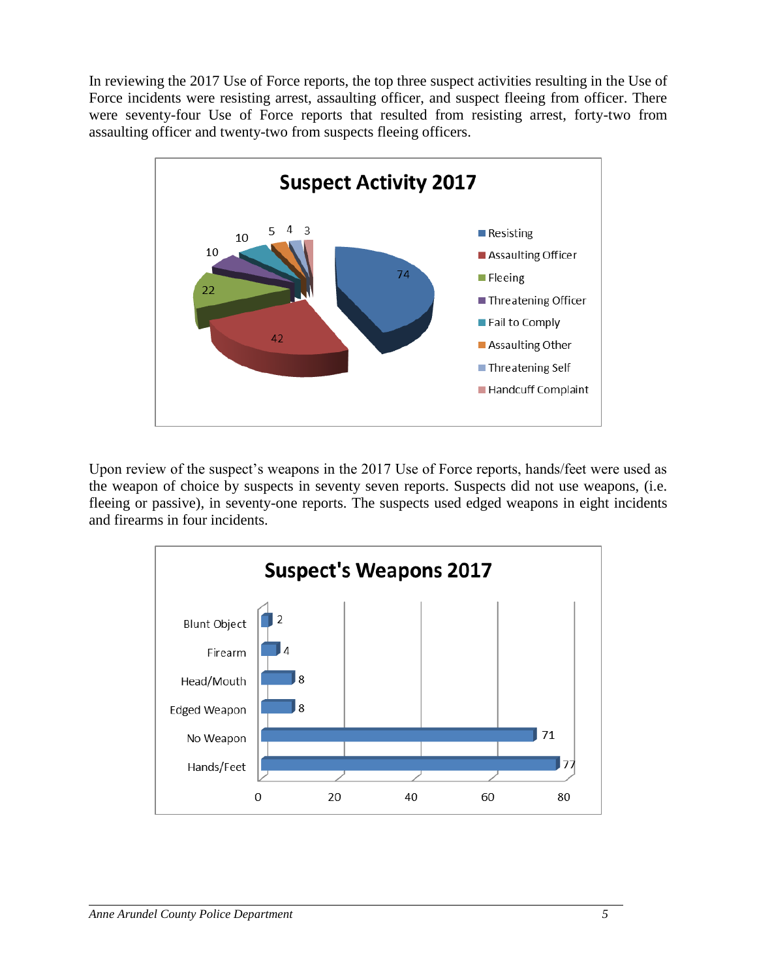In reviewing the 2017 Use of Force reports, the top three suspect activities resulting in the Use of Force incidents were resisting arrest, assaulting officer, and suspect fleeing from officer. There were seventy-four Use of Force reports that resulted from resisting arrest, forty-two from assaulting officer and twenty-two from suspects fleeing officers.



Upon review of the suspect's weapons in the 2017 Use of Force reports, hands/feet were used as the weapon of choice by suspects in seventy seven reports. Suspects did not use weapons, (i.e. fleeing or passive), in seventy-one reports. The suspects used edged weapons in eight incidents and firearms in four incidents.

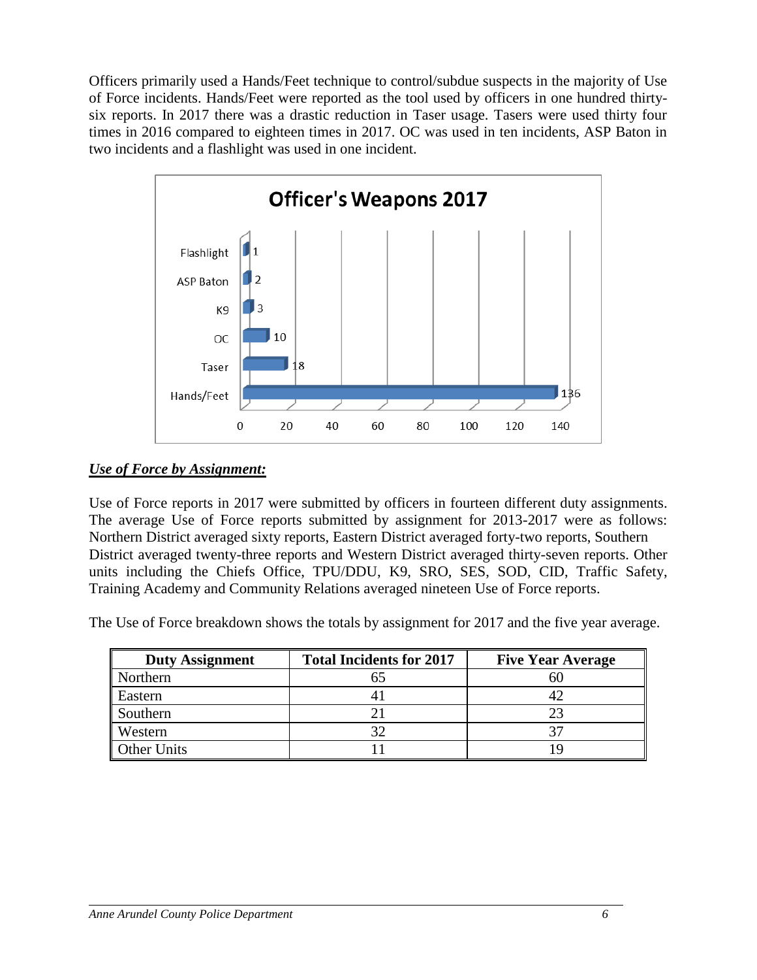Officers primarily used a Hands/Feet technique to control/subdue suspects in the majority of Use of Force incidents. Hands/Feet were reported as the tool used by officers in one hundred thirtysix reports. In 2017 there was a drastic reduction in Taser usage. Tasers were used thirty four times in 2016 compared to eighteen times in 2017. OC was used in ten incidents, ASP Baton in two incidents and a flashlight was used in one incident.



### *Use of Force by Assignment:*

Use of Force reports in 2017 were submitted by officers in fourteen different duty assignments. The average Use of Force reports submitted by assignment for 2013-2017 were as follows: Northern District averaged sixty reports, Eastern District averaged forty-two reports, Southern District averaged twenty-three reports and Western District averaged thirty-seven reports. Other units including the Chiefs Office, TPU/DDU, K9, SRO, SES, SOD, CID, Traffic Safety, Training Academy and Community Relations averaged nineteen Use of Force reports.

The Use of Force breakdown shows the totals by assignment for 2017 and the five year average.

| <b>Duty Assignment</b> | <b>Total Incidents for 2017</b> | <b>Five Year Average</b> |
|------------------------|---------------------------------|--------------------------|
| Northern               |                                 | 60                       |
| Eastern                |                                 | 42                       |
| Southern               |                                 | 23                       |
| Western                |                                 | 27                       |
| <b>Other Units</b>     |                                 |                          |